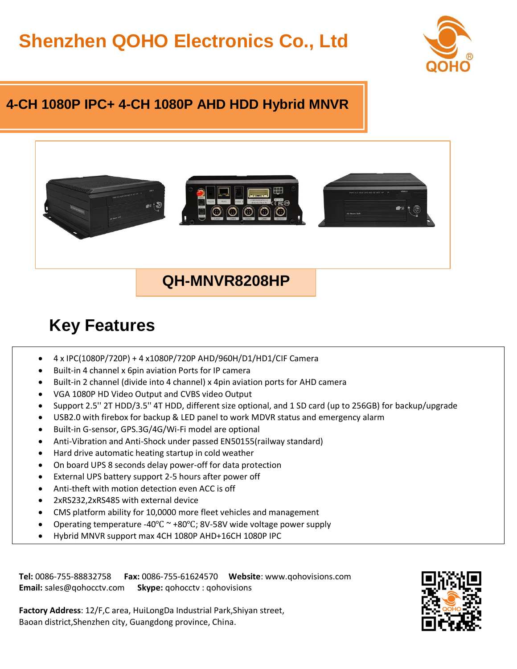# **Shenzhen QOHO Electronics Co., Ltd**



#### **4-CH 1080P IPC+ 4-CH 1080P AHD HDD Hybrid MNVR**



### **QH-MNVR8208HP**

## **Key Features**

- $\bullet$  4 x IPC(1080P/720P) + 4 x1080P/720P AHD/960H/D1/HD1/CIF Camera
- Built-in 4 channel x 6pin aviation Ports for IP camera
- Built-in 2 channel (divide into 4 channel) x 4pin aviation ports for AHD camera
- VGA 1080P HD Video Output and CVBS video Output
- Support 2.5'' 2T HDD/3.5'' 4T HDD, different size optional, and 1 SD card (up to 256GB) for backup/upgrade
- USB2.0 with firebox for backup & LED panel to work MDVR status and emergency alarm
- Built-in G-sensor, GPS.3G/4G/Wi-Fi model are optional
- Anti-Vibration and Anti-Shock under passed EN50155(railway standard)
- Hard drive automatic heating startup in cold weather
- On board UPS 8 seconds delay power-off for data protection
- External UPS battery support 2-5 hours after power off
- Anti-theft with motion detection even ACC is off
- 2xRS232,2xRS485 with external device
- CMS platform ability for 10,0000 more fleet vehicles and management
- Operating temperature -40℃ ~ +80℃; 8V-58V wide voltage power supply
- Hybrid MNVR support max 4CH 1080P AHD+16CH 1080P IPC

**Tel:** 0086-755-88832758 **Fax:** 0086-755-61624570 **Website**: www.qohovisions.com **Email:** sales@qohocctv.com **Skype:** qohocctv : qohovisions



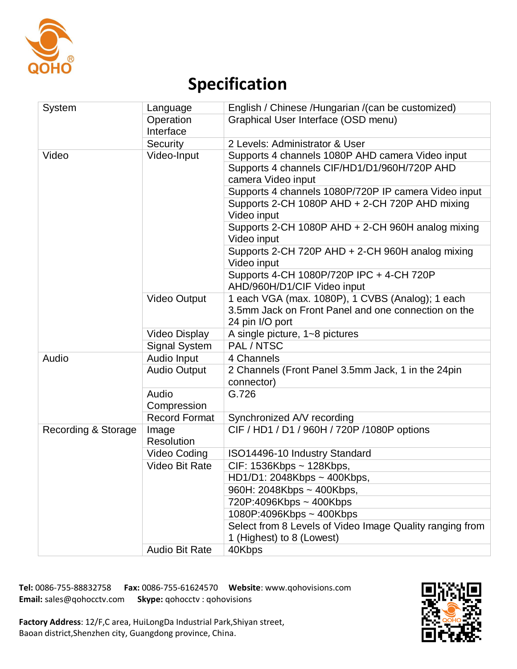

# **Specification**

| System              | Language               | English / Chinese / Hungarian / (can be customized)      |  |
|---------------------|------------------------|----------------------------------------------------------|--|
|                     | Operation<br>Interface | Graphical User Interface (OSD menu)                      |  |
|                     | Security               | 2 Levels: Administrator & User                           |  |
| Video               | Video-Input            | Supports 4 channels 1080P AHD camera Video input         |  |
|                     |                        | Supports 4 channels CIF/HD1/D1/960H/720P AHD             |  |
|                     |                        | camera Video input                                       |  |
|                     |                        | Supports 4 channels 1080P/720P IP camera Video input     |  |
|                     |                        | Supports 2-CH 1080P AHD + 2-CH 720P AHD mixing           |  |
|                     |                        | Video input                                              |  |
|                     |                        | Supports 2-CH 1080P AHD + 2-CH 960H analog mixing        |  |
|                     |                        | Video input                                              |  |
|                     |                        | Supports 2-CH 720P AHD + 2-CH 960H analog mixing         |  |
|                     |                        | Video input                                              |  |
|                     |                        | Supports 4-CH 1080P/720P IPC + 4-CH 720P                 |  |
|                     |                        | AHD/960H/D1/CIF Video input                              |  |
|                     | <b>Video Output</b>    | 1 each VGA (max. 1080P), 1 CVBS (Analog); 1 each         |  |
|                     |                        | 3.5mm Jack on Front Panel and one connection on the      |  |
|                     |                        | 24 pin I/O port                                          |  |
|                     | <b>Video Display</b>   | A single picture, 1~8 pictures                           |  |
|                     | <b>Signal System</b>   | PAL / NTSC                                               |  |
| Audio               | Audio Input            | 4 Channels                                               |  |
|                     | <b>Audio Output</b>    | 2 Channels (Front Panel 3.5mm Jack, 1 in the 24pin       |  |
|                     |                        | connector)                                               |  |
|                     | Audio                  | G.726                                                    |  |
|                     | Compression            |                                                          |  |
|                     | <b>Record Format</b>   | Synchronized A/V recording                               |  |
| Recording & Storage | Image                  | CIF / HD1 / D1 / 960H / 720P / 1080P options             |  |
|                     | <b>Resolution</b>      |                                                          |  |
|                     | Video Coding           | ISO14496-10 Industry Standard                            |  |
|                     | <b>Video Bit Rate</b>  | CIF: 1536Kbps ~ 128Kbps,                                 |  |
|                     |                        | HD1/D1: 2048Kbps ~ 400Kbps,                              |  |
|                     |                        | 960H: 2048Kbps ~ 400Kbps,                                |  |
|                     |                        | 720P:4096Kbps ~ 400Kbps                                  |  |
|                     |                        | 1080P:4096Kbps ~ 400Kbps                                 |  |
|                     |                        | Select from 8 Levels of Video Image Quality ranging from |  |
|                     |                        | 1 (Highest) to 8 (Lowest)                                |  |
|                     | <b>Audio Bit Rate</b>  | 40Kbps                                                   |  |

**Tel:** 0086-755-88832758 **Fax:** 0086-755-61624570 **Website**: www.qohovisions.com **Email:** sales@qohocctv.com **Skype:** qohocctv : qohovisions



**Factory Address**: 12/F,C area, HuiLongDa Industrial Park,Shiyan street, Baoan district,Shenzhen city, Guangdong province, China.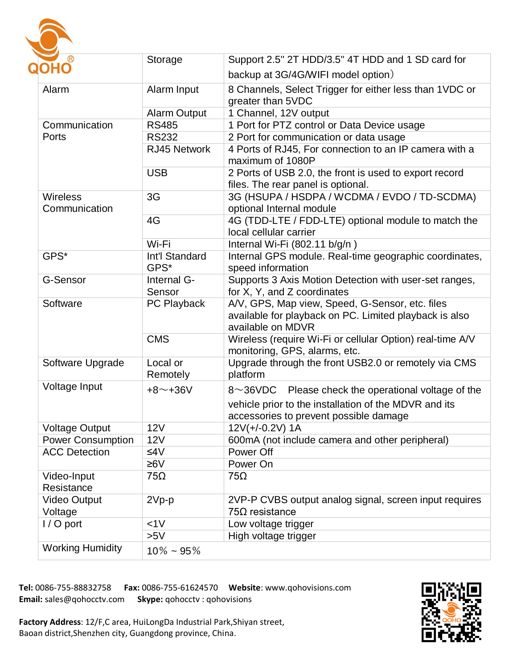

| ®                        | Storage                                                                | Support 2.5" 2T HDD/3.5" 4T HDD and 1 SD card for             |  |
|--------------------------|------------------------------------------------------------------------|---------------------------------------------------------------|--|
| <b>OHO</b>               |                                                                        | backup at 3G/4G/WIFI model option)                            |  |
| Alarm                    | 8 Channels, Select Trigger for either less than 1VDC or<br>Alarm Input |                                                               |  |
|                          |                                                                        | greater than 5VDC                                             |  |
|                          | <b>Alarm Output</b>                                                    | 1 Channel, 12V output                                         |  |
| Communication            | <b>RS485</b>                                                           | 1 Port for PTZ control or Data Device usage                   |  |
| Ports                    | <b>RS232</b>                                                           | 2 Port for communication or data usage                        |  |
|                          | RJ45 Network                                                           | 4 Ports of RJ45, For connection to an IP camera with a        |  |
|                          |                                                                        | maximum of 1080P                                              |  |
|                          | <b>USB</b>                                                             | 2 Ports of USB 2.0, the front is used to export record        |  |
|                          |                                                                        | files. The rear panel is optional.                            |  |
| <b>Wireless</b>          | 3G                                                                     | 3G (HSUPA / HSDPA / WCDMA / EVDO / TD-SCDMA)                  |  |
| Communication            |                                                                        | optional Internal module                                      |  |
|                          | 4G                                                                     | 4G (TDD-LTE / FDD-LTE) optional module to match the           |  |
|                          |                                                                        | local cellular carrier                                        |  |
|                          | Wi-Fi                                                                  | Internal Wi-Fi (802.11 b/g/n)                                 |  |
| GPS*                     | Int'l Standard                                                         | Internal GPS module. Real-time geographic coordinates,        |  |
|                          | GPS*                                                                   | speed information                                             |  |
| G-Sensor                 | Internal G-                                                            | Supports 3 Axis Motion Detection with user-set ranges,        |  |
|                          | Sensor                                                                 | for X, Y, and Z coordinates                                   |  |
| Software                 | PC Playback                                                            | A/V, GPS, Map view, Speed, G-Sensor, etc. files               |  |
|                          |                                                                        | available for playback on PC. Limited playback is also        |  |
|                          |                                                                        | available on MDVR                                             |  |
|                          | <b>CMS</b>                                                             | Wireless (require Wi-Fi or cellular Option) real-time A/V     |  |
|                          |                                                                        | monitoring, GPS, alarms, etc.                                 |  |
| Software Upgrade         | Local or                                                               | Upgrade through the front USB2.0 or remotely via CMS          |  |
|                          | Remotely                                                               | platform                                                      |  |
| Voltage Input            | $+8$ ~+36V                                                             | Please check the operational voltage of the<br>8 $\sim$ 36VDC |  |
|                          |                                                                        | vehicle prior to the installation of the MDVR and its         |  |
|                          |                                                                        | accessories to prevent possible damage                        |  |
| <b>Voltage Output</b>    | <b>12V</b>                                                             | $12V(+/-0.2V)$ 1A                                             |  |
| <b>Power Consumption</b> | 12V                                                                    | 600mA (not include camera and other peripheral)               |  |
| <b>ACC Detection</b>     | ≤4 $V$                                                                 | Power Off                                                     |  |
|                          | $≥6V$                                                                  | Power On                                                      |  |
| Video-Input              | $75\Omega$                                                             | $75\Omega$                                                    |  |
| Resistance               |                                                                        |                                                               |  |
| <b>Video Output</b>      | $2Vp-p$                                                                | 2VP-P CVBS output analog signal, screen input requires        |  |
| Voltage                  |                                                                        | $75\Omega$ resistance                                         |  |
| $1/O$ port               | <1V                                                                    | Low voltage trigger                                           |  |
|                          | >5V                                                                    | High voltage trigger                                          |  |
| <b>Working Humidity</b>  | $10\% - 95\%$                                                          |                                                               |  |

**Tel:** 0086-755-88832758 **Fax:** 0086-755-61624570 **Website**: www.qohovisions.com **Email:** sales@qohocctv.com **Skype:** qohocctv : qohovisions



**Factory Address**: 12/F,C area, HuiLongDa Industrial Park,Shiyan street, Baoan district,Shenzhen city, Guangdong province, China.